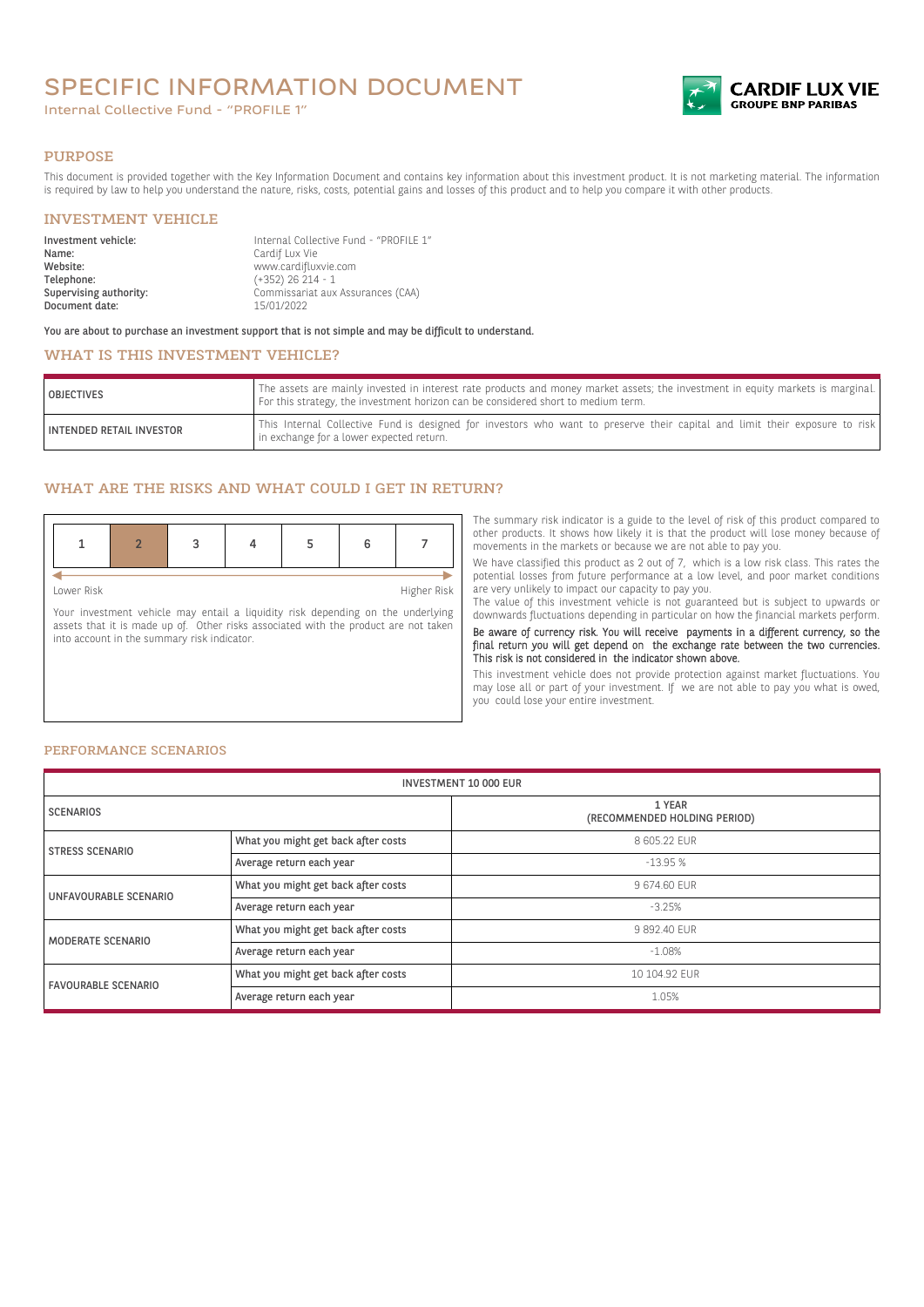# SPECIFIC INFORMATION DOCUMENT

Internal Collective Fund - "PROFILE 1"



#### PURPOSE

This document is provided together with the Key Information Document and contains key information about this investment product. It is not marketing material. The information is required by law to help you understand the nature, risks, costs, potential gains and losses of this product and to help you compare it with other products.

#### INVESTMENT VEHICLE

| Investment vehicle:    | Internal Collective Fund - "PROFILE 1" |
|------------------------|----------------------------------------|
| Name:                  | Cardif Lux Vie                         |
| Website:               | www.cardifluxvie.com                   |
| Telephone:             | $(+352)$ 26 214 - 1                    |
| Supervising authority: | Commissariat aux Assurances (CAA)      |
| Document date:         | 15/01/2022                             |

You are about to purchase an investment support that is not simple and may be difficult to understand.

## WHAT IS THIS INVESTMENT VEHICLE?

| <b>OBJECTIVES</b>               | The assets are mainly invested in interest rate products and money market assets; the investment in equity markets is marginal.<br>For this strategy, the investment horizon can be considered short to medium term. |
|---------------------------------|----------------------------------------------------------------------------------------------------------------------------------------------------------------------------------------------------------------------|
| <b>INTENDED RETAIL INVESTOR</b> | This Internal Collective Fund is designed for investors who want to preserve their capital and limit their exposure to risk<br>in exchange for a lower expected return.                                              |

# WHAT ARE THE RISKS AND WHAT COULD I GET IN RETURN?

Lower Risk Higher Risk

Your investment vehicle may entail a liquidity risk depending on the underlying assets that it is made up of. Other risks associated with the product are not taken into account in the summary risk indicator.

The summary risk indicator is a guide to the level of risk of this product compared to other products. It shows how likely it is that the product will lose money because of movements in the markets or because we are not able to pay you.

We have classified this product as 2 out of 7, which is a low risk class. This rates the potential losses from future performance at a low level, and poor market conditions are very unlikely to impact our capacity to pay you.

The value of this investment vehicle is not guaranteed but is subject to upwards or downwards fluctuations depending in particular on how the financial markets perform. Be aware of currency risk. You will receive payments in a different currency, so the

final return you will get depend on the exchange rate between the two currencies. This risk is not considered in the indicator shown above.

This investment vehicle does not provide protection against market fluctuations. You may lose all or part of your investment. If we are not able to pay you what is owed, you could lose your entire investment.

#### PERFORMANCE SCENARIOS

| <b>INVESTMENT 10 000 EUR</b> |                                     |                                        |  |
|------------------------------|-------------------------------------|----------------------------------------|--|
| <b>SCENARIOS</b>             |                                     | 1 YEAR<br>(RECOMMENDED HOLDING PERIOD) |  |
| <b>STRESS SCENARIO</b>       | What you might get back after costs | 8 605.22 EUR                           |  |
|                              | Average return each year            | $-13.95%$                              |  |
| UNFAVOURABLE SCENARIO        | What you might get back after costs | 9 674.60 EUR                           |  |
|                              | Average return each year            | $-3.25%$                               |  |
| MODERATE SCENARIO            | What you might get back after costs | 9 892.40 EUR                           |  |
|                              | Average return each year            | $-1.08%$                               |  |
| <b>FAVOURABLE SCENARIO</b>   | What you might get back after costs | 10 104.92 EUR                          |  |
|                              | Average return each year            | 1.05%                                  |  |